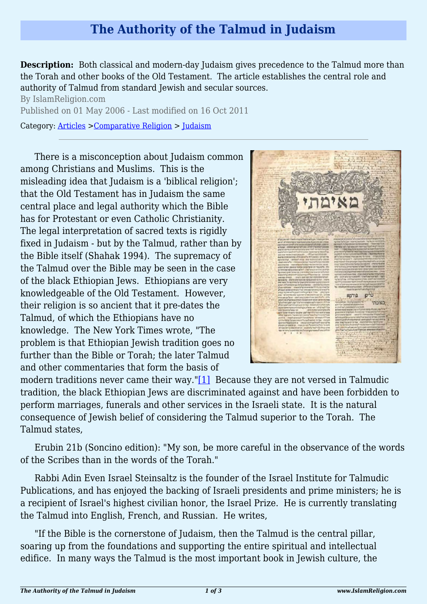## **The Authority of the Talmud in Judaism**

**Description:** Both classical and modern-day Judaism gives precedence to the Talmud more than the Torah and other books of the Old Testament. The article establishes the central role and authority of Talmud from standard Jewish and secular sources.

By IslamReligion.com Published on 01 May 2006 - Last modified on 16 Oct 2011 Category: [Articles](http://www.islamreligion.com/articles/) >[Comparative Religion](http://www.islamreligion.com/category/68/) > [Judaism](http://www.islamreligion.com/category/72/)

There is a misconception about Judaism common among Christians and Muslims. This is the misleading idea that Judaism is a 'biblical religion'; that the Old Testament has in Judaism the same central place and legal authority which the Bible has for Protestant or even Catholic Christianity. The legal interpretation of sacred texts is rigidly fixed in Judaism - but by the Talmud, rather than by the Bible itself (Shahak 1994). The supremacy of the Talmud over the Bible may be seen in the case of the black Ethiopian Jews. Ethiopians are very knowledgeable of the Old Testament. However, their religion is so ancient that it pre-dates the Talmud, of which the Ethiopians have no knowledge. The New York Times wrote, "The problem is that Ethiopian Jewish tradition goes no further than the Bible or Torah; the later Talmud and other commentaries that form the basis of



<span id="page-0-0"></span>modern traditions never came their way.["\[1\]](#page-2-0) Because they are not versed in Talmudic tradition, the black Ethiopian Jews are discriminated against and have been forbidden to perform marriages, funerals and other services in the Israeli state. It is the natural consequence of Jewish belief of considering the Talmud superior to the Torah. The Talmud states,

Erubin 21b (Soncino edition): "My son, be more careful in the observance of the words of the Scribes than in the words of the Torah."

Rabbi Adin Even Israel Steinsaltz is the founder of the Israel Institute for Talmudic Publications, and has enjoyed the backing of Israeli presidents and prime ministers; he is a recipient of Israel's highest civilian honor, the Israel Prize. He is currently translating the Talmud into English, French, and Russian. He writes,

"If the Bible is the cornerstone of Judaism, then the Talmud is the central pillar, soaring up from the foundations and supporting the entire spiritual and intellectual edifice. In many ways the Talmud is the most important book in Jewish culture, the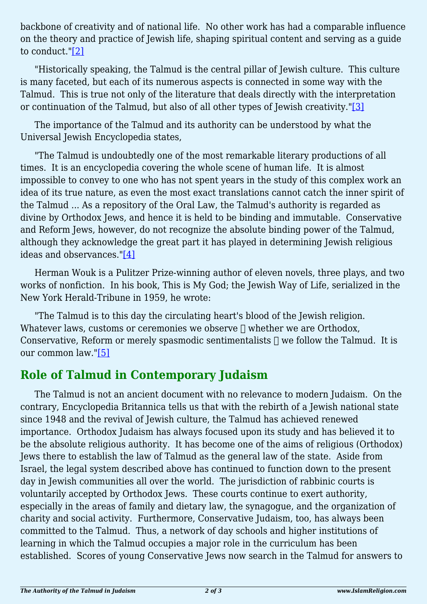backbone of creativity and of national life. No other work has had a comparable influence on the theory and practice of Jewish life, shaping spiritual content and serving as a guide to conduct.["\[2\]](#page-2-1)

<span id="page-1-0"></span>"Historically speaking, the Talmud is the central pillar of Jewish culture. This culture is many faceted, but each of its numerous aspects is connected in some way with the Talmud. This is true not only of the literature that deals directly with the interpretation or continuation of the Talmud, but also of all other types of Jewish creativity.["\[3\]](#page-2-2)

<span id="page-1-1"></span>The importance of the Talmud and its authority can be understood by what the Universal Jewish Encyclopedia states,

"The Talmud is undoubtedly one of the most remarkable literary productions of all times. It is an encyclopedia covering the whole scene of human life. It is almost impossible to convey to one who has not spent years in the study of this complex work an idea of its true nature, as even the most exact translations cannot catch the inner spirit of the Talmud ... As a repository of the Oral Law, the Talmud's authority is regarded as divine by Orthodox Jews, and hence it is held to be binding and immutable. Conservative and Reform Jews, however, do not recognize the absolute binding power of the Talmud, although they acknowledge the great part it has played in determining Jewish religious ideas and observances."[\[4\]](#page-2-3)

<span id="page-1-2"></span>Herman Wouk is a Pulitzer Prize-winning author of eleven novels, three plays, and two works of nonfiction. In his book, This is My God; the Jewish Way of Life, serialized in the New York Herald-Tribune in 1959, he wrote:

"The Talmud is to this day the circulating heart's blood of the Jewish religion. Whatever laws, customs or ceremonies we observe  $\Box$  whether we are Orthodox, Conservative, Reform or merely spasmodic sentimentalists  $\Box$  we follow the Talmud. It is our common law.["\[5\]](#page-2-4)

## <span id="page-1-3"></span>**Role of Talmud in Contemporary Judaism**

<span id="page-1-4"></span>The Talmud is not an ancient document with no relevance to modern Judaism. On the contrary, Encyclopedia Britannica tells us that with the rebirth of a Jewish national state since 1948 and the revival of Jewish culture, the Talmud has achieved renewed importance. Orthodox Judaism has always focused upon its study and has believed it to be the absolute religious authority. It has become one of the aims of religious (Orthodox) Jews there to establish the law of Talmud as the general law of the state. Aside from Israel, the legal system described above has continued to function down to the present day in Jewish communities all over the world. The jurisdiction of rabbinic courts is voluntarily accepted by Orthodox Jews. These courts continue to exert authority, especially in the areas of family and dietary law, the synagogue, and the organization of charity and social activity. Furthermore, Conservative Judaism, too, has always been committed to the Talmud. Thus, a network of day schools and higher institutions of learning in which the Talmud occupies a major role in the curriculum has been established. Scores of young Conservative Jews now search in the Talmud for answers to